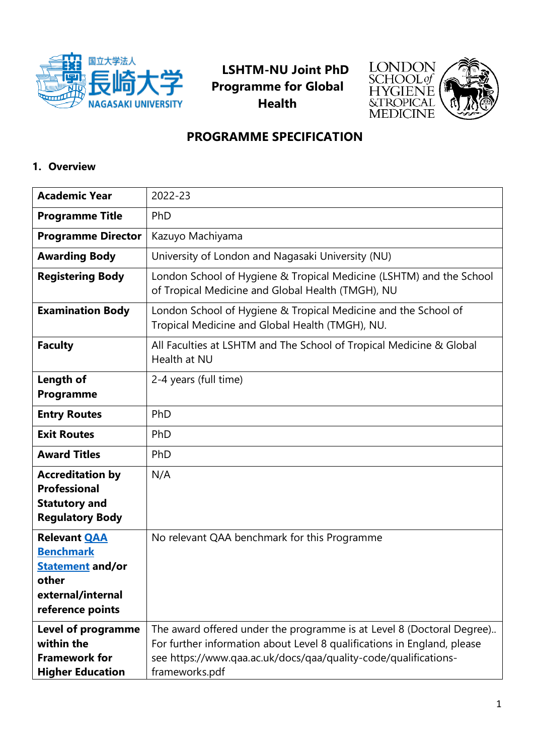

**LSHTM-NU Joint PhD Programme for Global Health**



# **PROGRAMME SPECIFICATION**

# **1. Overview**

| <b>Academic Year</b>                                                                                                 | 2022-23                                                                                                                                                                                                                               |
|----------------------------------------------------------------------------------------------------------------------|---------------------------------------------------------------------------------------------------------------------------------------------------------------------------------------------------------------------------------------|
| <b>Programme Title</b>                                                                                               | PhD                                                                                                                                                                                                                                   |
| <b>Programme Director</b>                                                                                            | Kazuyo Machiyama                                                                                                                                                                                                                      |
| <b>Awarding Body</b>                                                                                                 | University of London and Nagasaki University (NU)                                                                                                                                                                                     |
| <b>Registering Body</b>                                                                                              | London School of Hygiene & Tropical Medicine (LSHTM) and the School<br>of Tropical Medicine and Global Health (TMGH), NU                                                                                                              |
| <b>Examination Body</b>                                                                                              | London School of Hygiene & Tropical Medicine and the School of<br>Tropical Medicine and Global Health (TMGH), NU.                                                                                                                     |
| <b>Faculty</b>                                                                                                       | All Faculties at LSHTM and The School of Tropical Medicine & Global<br>Health at NU                                                                                                                                                   |
| Length of<br>Programme                                                                                               | 2-4 years (full time)                                                                                                                                                                                                                 |
| <b>Entry Routes</b>                                                                                                  | PhD                                                                                                                                                                                                                                   |
| <b>Exit Routes</b>                                                                                                   | PhD                                                                                                                                                                                                                                   |
| <b>Award Titles</b>                                                                                                  | PhD                                                                                                                                                                                                                                   |
| <b>Accreditation by</b><br><b>Professional</b><br><b>Statutory and</b><br><b>Regulatory Body</b>                     | N/A                                                                                                                                                                                                                                   |
| <b>Relevant QAA</b><br><b>Benchmark</b><br><b>Statement and/or</b><br>other<br>external/internal<br>reference points | No relevant QAA benchmark for this Programme                                                                                                                                                                                          |
| <b>Level of programme</b><br>within the<br><b>Framework for</b><br><b>Higher Education</b>                           | The award offered under the programme is at Level 8 (Doctoral Degree)<br>For further information about Level 8 qualifications in England, please<br>see https://www.qaa.ac.uk/docs/qaa/quality-code/qualifications-<br>frameworks.pdf |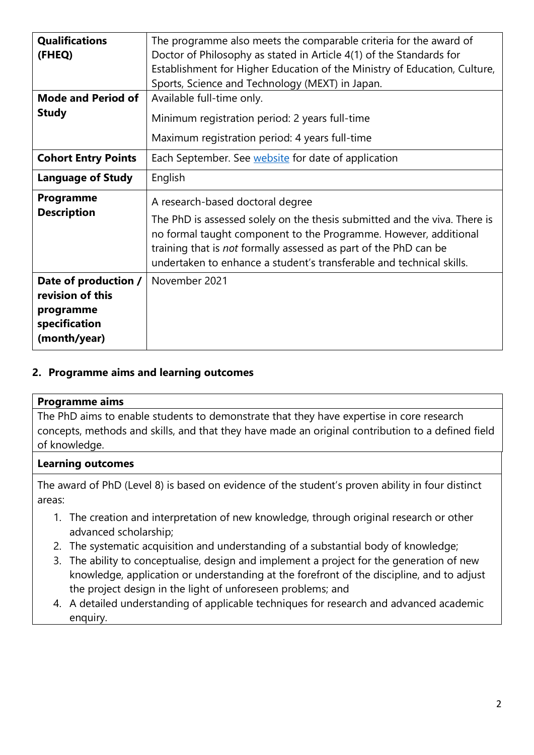| <b>Qualifications</b><br>(FHEQ)                                                        | The programme also meets the comparable criteria for the award of<br>Doctor of Philosophy as stated in Article 4(1) of the Standards for<br>Establishment for Higher Education of the Ministry of Education, Culture,<br>Sports, Science and Technology (MEXT) in Japan.                                                      |
|----------------------------------------------------------------------------------------|-------------------------------------------------------------------------------------------------------------------------------------------------------------------------------------------------------------------------------------------------------------------------------------------------------------------------------|
| <b>Mode and Period of</b><br><b>Study</b>                                              | Available full-time only.<br>Minimum registration period: 2 years full-time<br>Maximum registration period: 4 years full-time                                                                                                                                                                                                 |
| <b>Cohort Entry Points</b>                                                             | Each September. See website for date of application                                                                                                                                                                                                                                                                           |
| <b>Language of Study</b>                                                               | English                                                                                                                                                                                                                                                                                                                       |
| Programme<br><b>Description</b>                                                        | A research-based doctoral degree<br>The PhD is assessed solely on the thesis submitted and the viva. There is<br>no formal taught component to the Programme. However, additional<br>training that is not formally assessed as part of the PhD can be<br>undertaken to enhance a student's transferable and technical skills. |
| Date of production /<br>revision of this<br>programme<br>specification<br>(month/year) | November 2021                                                                                                                                                                                                                                                                                                                 |

#### **2. Programme aims and learning outcomes**

#### **Programme aims**

The PhD aims to enable students to demonstrate that they have expertise in core research concepts, methods and skills, and that they have made an original contribution to a defined field of knowledge.

#### **Learning outcomes**

The award of PhD (Level 8) is based on evidence of the student's proven ability in four distinct areas:

- 1. The creation and interpretation of new knowledge, through original research or other advanced scholarship;
- 2. The systematic acquisition and understanding of a substantial body of knowledge;
- 3. The ability to conceptualise, design and implement a project for the generation of new knowledge, application or understanding at the forefront of the discipline, and to adjust the project design in the light of unforeseen problems; and
- 4. A detailed understanding of applicable techniques for research and advanced academic enquiry.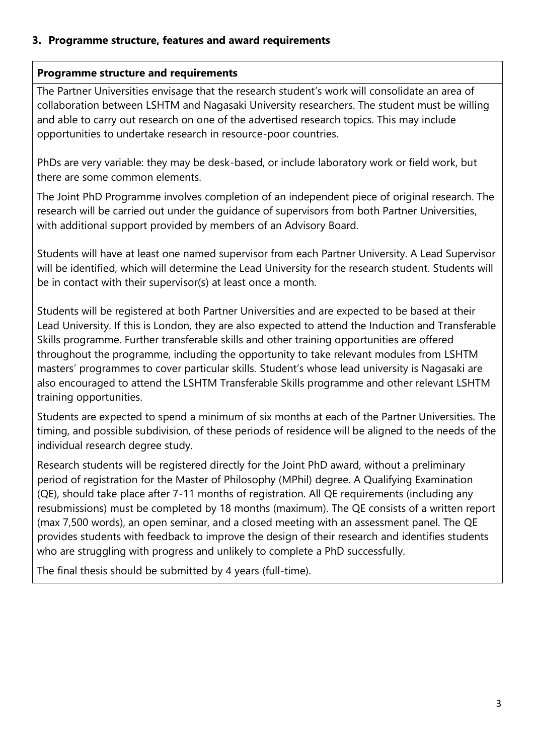#### **3. Programme structure, features and award requirements**

#### **Programme structure and requirements**

The Partner Universities envisage that the research student's work will consolidate an area of collaboration between LSHTM and Nagasaki University researchers. The student must be willing and able to carry out research on one of the advertised research topics. This may include opportunities to undertake research in resource-poor countries.

PhDs are very variable: they may be desk-based, or include laboratory work or field work, but there are some common elements.

The Joint PhD Programme involves completion of an independent piece of original research. The research will be carried out under the guidance of supervisors from both Partner Universities, with additional support provided by members of an Advisory Board.

Students will have at least one named supervisor from each Partner University. A Lead Supervisor will be identified, which will determine the Lead University for the research student. Students will be in contact with their supervisor(s) at least once a month.

Students will be registered at both Partner Universities and are expected to be based at their Lead University. If this is London, they are also expected to attend the Induction and Transferable Skills programme. Further transferable skills and other training opportunities are offered throughout the programme, including the opportunity to take relevant modules from LSHTM masters' programmes to cover particular skills. Student's whose lead university is Nagasaki are also encouraged to attend the LSHTM Transferable Skills programme and other relevant LSHTM training opportunities.

Students are expected to spend a minimum of six months at each of the Partner Universities. The timing, and possible subdivision, of these periods of residence will be aligned to the needs of the individual research degree study.

Research students will be registered directly for the Joint PhD award, without a preliminary period of registration for the Master of Philosophy (MPhil) degree. A Qualifying Examination (QE), should take place after 7-11 months of registration. All QE requirements (including any resubmissions) must be completed by 18 months (maximum). The QE consists of a written report (max 7,500 words), an open seminar, and a closed meeting with an assessment panel. The QE provides students with feedback to improve the design of their research and identifies students who are struggling with progress and unlikely to complete a PhD successfully.

The final thesis should be submitted by 4 years (full-time).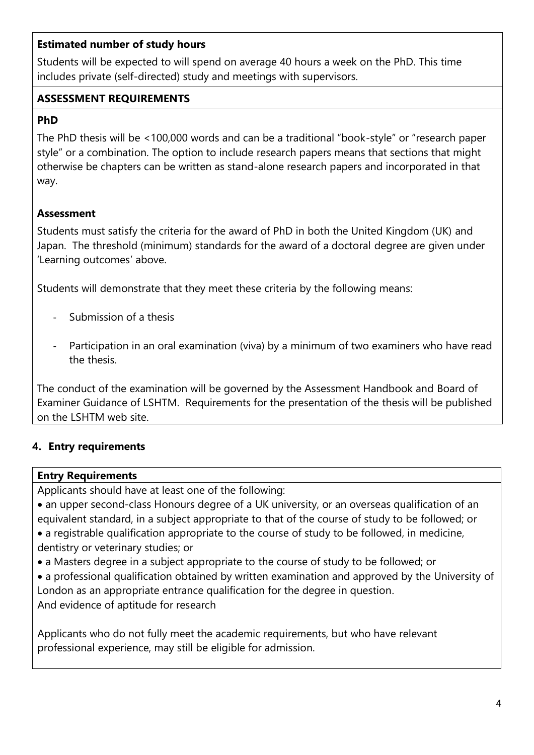### **Estimated number of study hours**

Students will be expected to will spend on average 40 hours a week on the PhD. This time includes private (self-directed) study and meetings with supervisors.

# **ASSESSMENT REQUIREMENTS**

# **PhD**

The PhD thesis will be <100,000 words and can be a traditional "book-style" or "research paper style" or a combination. The option to include research papers means that sections that might otherwise be chapters can be written as stand-alone research papers and incorporated in that way.

# **Assessment**

Students must satisfy the criteria for the award of PhD in both the United Kingdom (UK) and Japan. The threshold (minimum) standards for the award of a doctoral degree are given under 'Learning outcomes' above.

Students will demonstrate that they meet these criteria by the following means:

- Submission of a thesis
- Participation in an oral examination (viva) by a minimum of two examiners who have read the thesis.

The conduct of the examination will be governed by the Assessment Handbook and Board of Examiner Guidance of LSHTM. Requirements for the presentation of the thesis will be published on the LSHTM web site.

# **4. Entry requirements**

### **Entry Requirements**

Applicants should have at least one of the following:

- an upper second-class Honours degree of a UK university, or an overseas qualification of an equivalent standard, in a subject appropriate to that of the course of study to be followed; or
- a registrable qualification appropriate to the course of study to be followed, in medicine, dentistry or veterinary studies; or
- a Masters degree in a subject appropriate to the course of study to be followed; or
- a professional qualification obtained by written examination and approved by the University of London as an appropriate entrance qualification for the degree in question. And evidence of aptitude for research

Applicants who do not fully meet the academic requirements, but who have relevant professional experience, may still be eligible for admission.